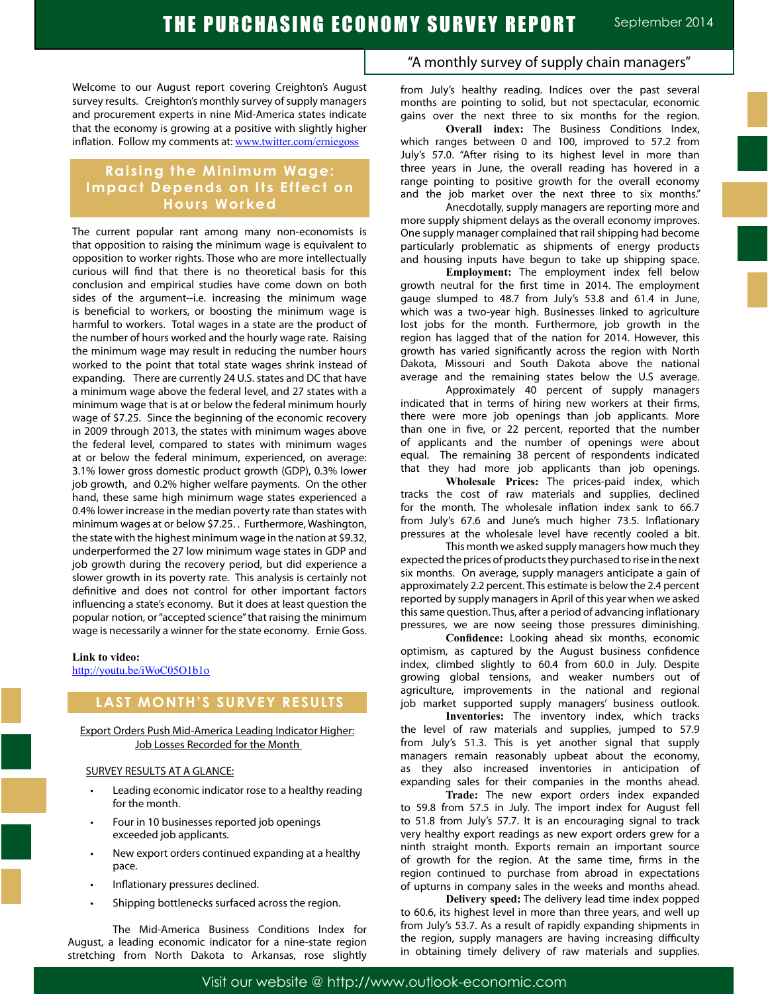Welcome to our August report covering Creighton's August survey results. Creighton's monthly survey of supply managers and procurement experts in nine Mid-America states indicate that the economy is growing at a positive with slightly higher inflation. Follow my comments at: www.twitter.com/erniegoss

## **Raising the Minimum Wage: Impact Depends on Its Effect on Hours Worked**

The current popular rant among many non-economists is that opposition to raising the minimum wage is equivalent to opposition to worker rights. Those who are more intellectually curious will find that there is no theoretical basis for this conclusion and empirical studies have come down on both sides of the argument--i.e. increasing the minimum wage is beneficial to workers, or boosting the minimum wage is harmful to workers. Total wages in a state are the product of the number of hours worked and the hourly wage rate. Raising the minimum wage may result in reducing the number hours worked to the point that total state wages shrink instead of expanding. There are currently 24 U.S. states and DC that have a minimum wage above the federal level, and 27 states with a minimum wage that is at or below the federal minimum hourly wage of \$7.25. Since the beginning of the economic recovery in 2009 through 2013, the states with minimum wages above the federal level, compared to states with minimum wages at or below the federal minimum, experienced, on average: 3.1% lower gross domestic product growth (GDP), 0.3% lower job growth, and 0.2% higher welfare payments. On the other hand, these same high minimum wage states experienced a 0.4% lower increase in the median poverty rate than states with minimum wages at or below \$7.25. . Furthermore, Washington, the state with the highest minimum wage in the nation at \$9.32, underperformed the 27 low minimum wage states in GDP and job growth during the recovery period, but did experience a slower growth in its poverty rate. This analysis is certainly not definitive and does not control for other important factors influencing a state's economy. But it does at least question the popular notion, or "accepted science" that raising the minimum wage is necessarily a winner for the state economy. Ernie Goss.

#### **Link to video:**

http://youtu.be/iWoC05O1b1o

## **LAST MONTH'S SURVEY RESULTS**

Export Orders Push Mid-America Leading Indicator Higher: Job Losses Recorded for the Month

### SURVEY RESULTS AT A GLANCE:

- Leading economic indicator rose to a healthy reading for the month.
- Four in 10 businesses reported job openings exceeded job applicants.
- New export orders continued expanding at a healthy pace.
- Inflationary pressures declined.
- Shipping bottlenecks surfaced across the region.

The Mid-America Business Conditions Index for August, a leading economic indicator for a nine-state region stretching from North Dakota to Arkansas, rose slightly

## "A monthly survey of supply chain managers"

from July's healthy reading. Indices over the past several months are pointing to solid, but not spectacular, economic gains over the next three to six months for the region.

**Overall index:** The Business Conditions Index, which ranges between 0 and 100, improved to 57.2 from July's 57.0. "After rising to its highest level in more than three years in June, the overall reading has hovered in a range pointing to positive growth for the overall economy and the job market over the next three to six months."

Anecdotally, supply managers are reporting more and more supply shipment delays as the overall economy improves. One supply manager complained that rail shipping had become particularly problematic as shipments of energy products and housing inputs have begun to take up shipping space.

**Employment:** The employment index fell below growth neutral for the first time in 2014. The employment gauge slumped to 48.7 from July's 53.8 and 61.4 in June, which was a two-year high. Businesses linked to agriculture lost jobs for the month. Furthermore, job growth in the region has lagged that of the nation for 2014. However, this growth has varied significantly across the region with North Dakota, Missouri and South Dakota above the national average and the remaining states below the U.S average.

Approximately 40 percent of supply managers indicated that in terms of hiring new workers at their firms, there were more job openings than job applicants. More than one in five, or 22 percent, reported that the number of applicants and the number of openings were about equal. The remaining 38 percent of respondents indicated that they had more job applicants than job openings.

**Wholesale Prices:** The prices-paid index, which tracks the cost of raw materials and supplies, declined for the month. The wholesale inflation index sank to 66.7 from July's 67.6 and June's much higher 73.5. Inflationary pressures at the wholesale level have recently cooled a bit.

This month we asked supply managers how much they expected the prices of products they purchased to rise in the next six months. On average, supply managers anticipate a gain of approximately 2.2 percent. This estimate is below the 2.4 percent reported by supply managers in April of this year when we asked this same question. Thus, after a period of advancing inflationary pressures, we are now seeing those pressures diminishing.

**Confidence:** Looking ahead six months, economic optimism, as captured by the August business confidence index, climbed slightly to 60.4 from 60.0 in July. Despite growing global tensions, and weaker numbers out of agriculture, improvements in the national and regional job market supported supply managers' business outlook.

**Inventories:** The inventory index, which tracks the level of raw materials and supplies, jumped to 57.9 from July's 51.3. This is yet another signal that supply managers remain reasonably upbeat about the economy, as they also increased inventories in anticipation of expanding sales for their companies in the months ahead.

**Trade:** The new export orders index expanded to 59.8 from 57.5 in July. The import index for August fell to 51.8 from July's 57.7. It is an encouraging signal to track very healthy export readings as new export orders grew for a ninth straight month. Exports remain an important source of growth for the region. At the same time, firms in the region continued to purchase from abroad in expectations of upturns in company sales in the weeks and months ahead.

**Delivery speed:** The delivery lead time index popped to 60.6, its highest level in more than three years, and well up from July's 53.7. As a result of rapidly expanding shipments in the region, supply managers are having increasing difficulty in obtaining timely delivery of raw materials and supplies.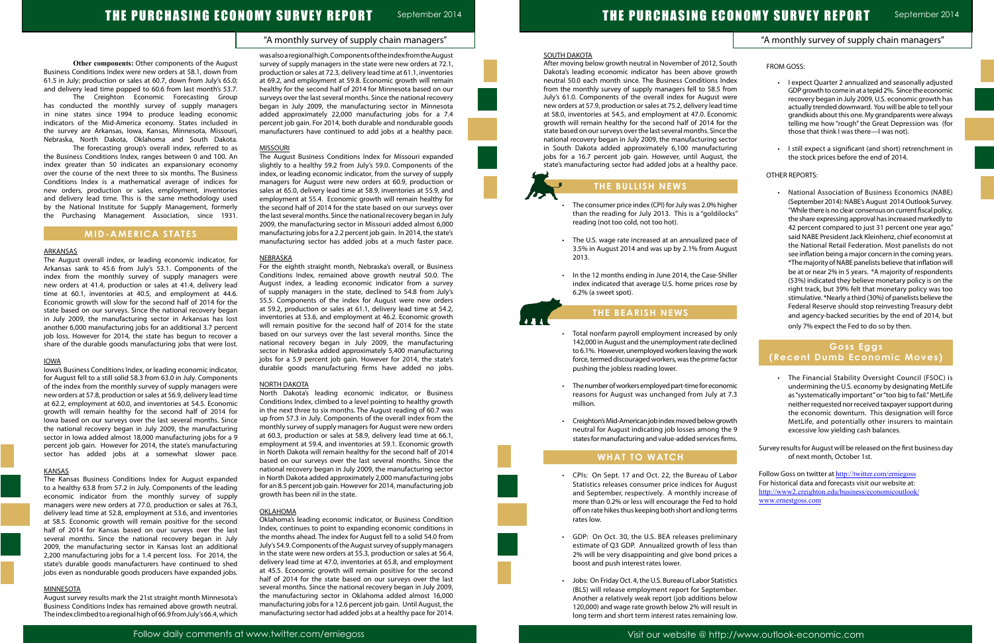"A monthly survey of supply chain managers"

## "A monthly survey of supply chain managers"

**Other components:** Other components of the August Business Conditions Index were new orders at 58.1, down from 61.5 in July; production or sales at 60.7, down from July's 65.0; and delivery lead time popped to 60.6 from last month's 53.7.

The Creighton Economic Forecasting Group has conducted the monthly survey of supply managers in nine states since 1994 to produce leading economic indicators of the Mid-America economy. States included in the survey are Arkansas, Iowa, Kansas, Minnesota, Missouri, Nebraska, North Dakota, Oklahoma and South Dakota.

The forecasting group's overall index, referred to as the Business Conditions Index, ranges between 0 and 100. An index greater than 50 indicates an expansionary economy over the course of the next three to six months. The Business Conditions Index is a mathematical average of indices for new orders, production or sales, employment, inventories and delivery lead time. This is the same methodology used by the National Institute for Supply Management, formerly the Purchasing Management Association, since 1931.

## **MID-AMERICA STATES**

### ARKANSAS

The August overall index, or leading economic indicator, for Arkansas sank to 45.6 from July's 53.1. Components of the index from the monthly survey of supply managers were new orders at 41.4, production or sales at 41.4, delivery lead time at 60.1, inventories at 40.5, and employment at 44.6. Economic growth will slow for the second half of 2014 for the state based on our surveys. Since the national recovery began in July 2009, the manufacturing sector in Arkansas has lost another 6,000 manufacturing jobs for an additional 3.7 percent job loss. However for 2014, the state has begun to recover a share of the durable goods manufacturing jobs that were lost.

#### IOWA

Iowa's Business Conditions Index, or leading economic indicator, for August fell to a still solid 58.3 from 63.0 in July. Components of the index from the monthly survey of supply managers were new orders at 57.8, production or sales at 56.9, delivery lead time at 62.2, employment at 60.0, and inventories at 54.5. Economic growth will remain healthy for the second half of 2014 for Iowa based on our surveys over the last several months. Since the national recovery began in July 2009, the manufacturing sector in Iowa added almost 18,000 manufacturing jobs for a 9 percent job gain. However for 2014, the state's manufacturing sector has added jobs at a somewhat slower pace.

#### KANSAS

The Kansas Business Conditions Index for August expanded to a healthy 63.8 from 57.2 in July. Components of the leading economic indicator from the monthly survey of supply managers were new orders at 77.0, production or sales at 76.3, delivery lead time at 52.8, employment at 53.6, and inventories at 58.5. Economic growth will remain positive for the second half of 2014 for Kansas based on our surveys over the last several months. Since the national recovery began in July 2009, the manufacturing sector in Kansas lost an additional 2,200 manufacturing jobs for a 1.4 percent loss. For 2014, the state's durable goods manufacturers have continued to shed jobs even as nondurable goods producers have expanded jobs.

#### MINNESOTA

August survey results mark the 21st straight month Minnesota's Business Conditions Index has remained above growth neutral. The index climbed to a regional high of 66.9 from July's 66.4, which

was also a regional high. Components of the index from the August survey of supply managers in the state were new orders at 72.1, production or sales at 72.3, delivery lead time at 61.1, inventories at 69.2, and employment at 59.8. Economic growth will remain healthy for the second half of 2014 for Minnesota based on our surveys over the last several months. Since the national recovery began in July 2009, the manufacturing sector in Minnesota added approximately 22,000 manufacturing jobs for a 7.4 percent job gain. For 2014, both durable and nondurable goods manufacturers have continued to add jobs at a healthy pace.

- The consumer price index (CPI) for July was 2.0% higher than the reading for July 2013. This is a "goldilocks" reading (not too cold, not too hot).
- • The U.S. wage rate increased at an annualized pace of 3.5% in August 2014 and was up by 2.1% from August 2013.
- • In the 12 months ending in June 2014, the Case-Shiller index indicated that average U.S. home prices rose by 6.2% (a sweet spot).

#### MISSOURI

- Total nonfarm payroll employment increased by only 142,000 in August and the unemployment rate declined to 6.1%. However, unemployed workers leaving the work force, termed discouraged workers, was the prime factor pushing the jobless reading lower.
- • The number of workers employed part-time for economic reasons for August was unchanged from July at 7.3 million.
- • Creighton's Mid-American job index moved below growth neutral for August indicating job losses among the 9 states for manufacturing and value-added services firms.

The August Business Conditions Index for Missouri expanded slightly to a healthy 59.2 from July's 59.0. Components of the index, or leading economic indicator, from the survey of supply managers for August were new orders at 60.9, production or sales at 65.0, delivery lead time at 58.9, inventories at 55.9, and employment at 55.4. Economic growth will remain healthy for the second half of 2014 for the state based on our surveys over the last several months. Since the national recovery began in July 2009, the manufacturing sector in Missouri added almost 6,000 manufacturing jobs for a 2.2 percent job gain. In 2014, the state's manufacturing sector has added jobs at a much faster pace.

#### **NEBRASKA**

For the eighth straight month, Nebraska's overall, or Business Conditions Index, remained above growth neutral 50.0. The August index, a leading economic indicator from a survey of supply managers in the state, declined to 54.8 from July's 55.5. Components of the index for August were new orders at 59.2, production or sales at 61.1, delivery lead time at 54.2, inventories at 53.6, and employment at 46.2. Economic growth will remain positive for the second half of 2014 for the state based on our surveys over the last several months. Since the national recovery began in July 2009, the manufacturing sector in Nebraska added approximately 5,400 manufacturing jobs for a 5.9 percent job gain. However for 2014, the state's durable goods manufacturing firms have added no jobs.

**National Association of Business Economics (NABE)** (September 2014): NABE's August 2014 Outlook Survey. "While there is no clear consensus on current fiscal policy, the share expressing approval has increased markedly to 42 percent compared to just 31 percent one year ago," said NABE President Jack Kleinhenz, chief economist at the National Retail Federation. Most panelists do not see inflation being a major concern in the coming years. \*The majority of NABE panelists believe that inflation will be at or near 2% in 5 years. \*A majority of respondents (53%) indicated they believe monetary policy is on the right track, but 39% felt that monetary policy was too stimulative. \*Nearly a third (30%) of panelists believe the Federal Reserve should stop reinvesting Treasury debt and agency-backed securities by the end of 2014, but only 7% expect the Fed to do so by then.

#### NORTH DAKOTA

North Dakota's leading economic indicator, or Business Conditions Index, climbed to a level pointing to healthy growth in the next three to six months. The August reading of 60.7 was up from 57.3 in July. Components of the overall index from the monthly survey of supply managers for August were new orders at 60.3, production or sales at 58.9, delivery lead time at 66.1, employment at 59.4, and inventories at 59.1. Economic growth in North Dakota will remain healthy for the second half of 2014 based on our surveys over the last several months. Since the national recovery began in July 2009, the manufacturing sector in North Dakota added approximately 2,000 manufacturing jobs for an 8.5 percent job gain. However for 2014, manufacturing job growth has been nil in the state.

#### OKLAHOMA

Oklahoma's leading economic indicator, or Business Condition Index, continues to point to expanding economic conditions in the months ahead. The index for August fell to a solid 54.0 from July's 54.9. Components of the August survey of supply managers in the state were new orders at 55.3, production or sales at 56.4, delivery lead time at 47.0, inventories at 65.8, and employment at 45.5. Economic growth will remain positive for the second half of 2014 for the state based on our surveys over the last several months. Since the national recovery began in July 2009, the manufacturing sector in Oklahoma added almost 16,000 manufacturing jobs for a 12.6 percent job gain. Until August, the manufacturing sector had added jobs at a healthy pace for 2014.





Ĩ

SOUTH DAKOTA

After moving below growth neutral in November of 2012, South Dakota's leading economic indicator has been above growth neutral 50.0 each month since. The Business Conditions Index from the monthly survey of supply managers fell to 58.5 from July's 61.0. Components of the overall index for August were new orders at 57.9, production or sales at 75.2, delivery lead time at 58.0, inventories at 54.5, and employment at 47.0. Economic growth will remain healthy for the second half of 2014 for the state based on our surveys over the last several months. Since the national recovery began in July 2009, the manufacturing sector in South Dakota added approximately 6,100 manufacturing jobs for a 16.7 percent job gain. However, until August, the state's manufacturing sector had added jobs at a healthy pace.

## **THE BULLISH NEWS**

## **THE BEARISH NEWS**

## **WHAT TO WATCH**

- • CPIs: On Sept. 17 and Oct. 22, the Bureau of Labor Statistics releases consumer price indices for August and September, respectively. A monthly increase of more than 0.2% or less will encourage the Fed to hold off on rate hikes thus keeping both short and long terms rates low.
- • GDP: On Oct. 30, the U.S. BEA releases preliminary estimate of Q3 GDP. Annualized growth of less than 2% will be very disappointing and give bond prices a boost and push interest rates lower.
- • Jobs: On Friday Oct. 4, the U.S. Bureau of Labor Statistics (BLS) will release employment report for September. Another a relatively weak report (job additions below 120,000) and wage rate growth below 2% will result in long term and short term interest rates remaining low.

FROM GOSS:

- • I expect Quarter 2 annualized and seasonally adjusted GDP growth to come in at a tepid 2%. Since the economic recovery began in July 2009, U.S. economic growth has actually trended downward. You will be able to tell your grandkids about this one. My grandparents were always telling me how "rough" the Great Depression was (for those that think I was there—I was not).
- • I still expect a significant (and short) retrenchment in the stock prices before the end of 2014.

#### OTHER REPORTS:

## **Goss Eggs (Recent Dumb Economic Moves)**

- • The Financial Stability Oversight Council (FSOC) is undermining the U.S. economy by designating MetLife as "systematically important" or "too big to fail." MetLife neither requested nor received taxpayer support during the economic downturn. This designation will force MetLife, and potentially other insurers to maintain excessive low yielding cash balances.
- Survey results for August will be released on the first business day of next month, October 1st.

Follow Goss on twitter at http://twitter.com/erniegoss For historical data and forecasts visit our website at: http://www2.creighton.edu/business/economicoutlook/ www.ernestgoss.com

- 
- 
- 
- 
-